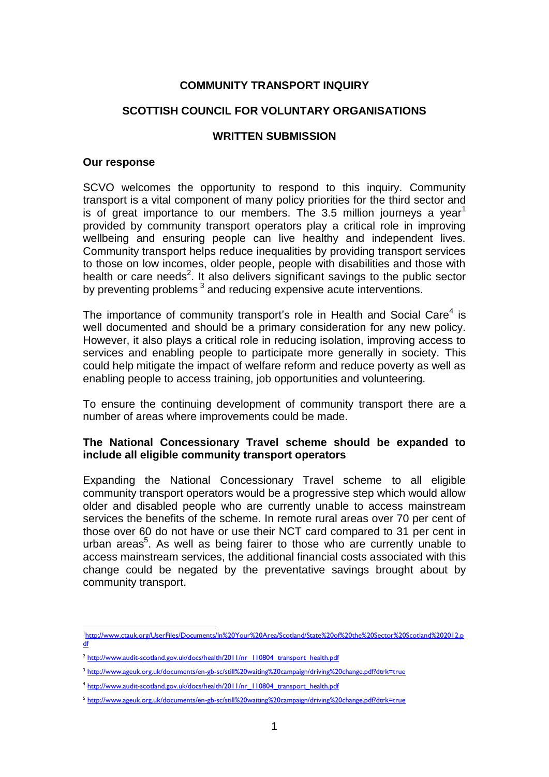## **COMMUNITY TRANSPORT INQUIRY**

## **SCOTTISH COUNCIL FOR VOLUNTARY ORGANISATIONS**

#### **WRITTEN SUBMISSION**

#### **Our response**

SCVO welcomes the opportunity to respond to this inquiry. Community transport is a vital component of many policy priorities for the third sector and is of great importance to our members. The 3.5 million journeys a year<sup>1</sup> provided by community transport operators play a critical role in improving wellbeing and ensuring people can live healthy and independent lives. Community transport helps reduce inequalities by providing transport services to those on low incomes, older people, people with disabilities and those with health or care needs<sup>2</sup>. It also delivers significant savings to the public sector by preventing problems<sup>3</sup> and reducing expensive acute interventions.

The importance of community transport's role in Health and Social Care<sup>4</sup> is well documented and should be a primary consideration for any new policy. However, it also plays a critical role in reducing isolation, improving access to services and enabling people to participate more generally in society. This could help mitigate the impact of welfare reform and reduce poverty as well as enabling people to access training, job opportunities and volunteering.

To ensure the continuing development of community transport there are a number of areas where improvements could be made.

#### **The National Concessionary Travel scheme should be expanded to include all eligible community transport operators**

Expanding the National Concessionary Travel scheme to all eligible community transport operators would be a progressive step which would allow older and disabled people who are currently unable to access mainstream services the benefits of the scheme. In remote rural areas over 70 per cent of those over 60 do not have or use their NCT card compared to 31 per cent in urban areas<sup>5</sup>. As well as being fairer to those who are currently unable to access mainstream services, the additional financial costs associated with this change could be negated by the preventative savings brought about by community transport.

<sup>1</sup> <sup>1</sup>[http://www.ctauk.org/UserFiles/Documents/In%20Your%20Area/Scotland/State%20of%20the%20Sector%20Scotland%202012.p](http://www.ctauk.org/UserFiles/Documents/In%20Your%20Area/Scotland/State%20of%20the%20Sector%20Scotland%202012.pdf) [df](http://www.ctauk.org/UserFiles/Documents/In%20Your%20Area/Scotland/State%20of%20the%20Sector%20Scotland%202012.pdf)

<sup>&</sup>lt;sup>2</sup> [http://www.audit-scotland.gov.uk/docs/health/2011/nr\\_110804\\_transport\\_health.pdf](http://www.audit-scotland.gov.uk/docs/health/2011/nr_110804_transport_health.pdf)

<sup>3</sup> <http://www.ageuk.org.uk/documents/en-gb-sc/still%20waiting%20campaign/driving%20change.pdf?dtrk=true>

<sup>4</sup> [http://www.audit-scotland.gov.uk/docs/health/2011/nr\\_110804\\_transport\\_health.pdf](http://www.audit-scotland.gov.uk/docs/health/2011/nr_110804_transport_health.pdf)

<sup>5</sup> <http://www.ageuk.org.uk/documents/en-gb-sc/still%20waiting%20campaign/driving%20change.pdf?dtrk=true>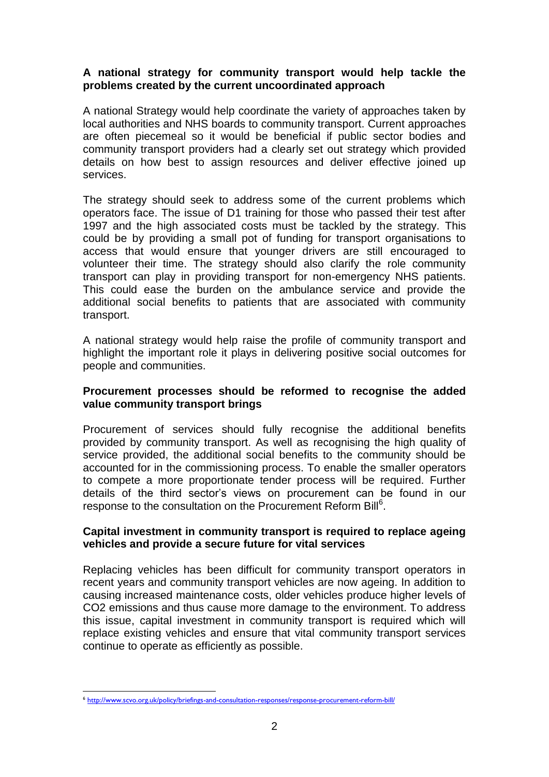## **A national strategy for community transport would help tackle the problems created by the current uncoordinated approach**

A national Strategy would help coordinate the variety of approaches taken by local authorities and NHS boards to community transport. Current approaches are often piecemeal so it would be beneficial if public sector bodies and community transport providers had a clearly set out strategy which provided details on how best to assign resources and deliver effective joined up services.

The strategy should seek to address some of the current problems which operators face. The issue of D1 training for those who passed their test after 1997 and the high associated costs must be tackled by the strategy. This could be by providing a small pot of funding for transport organisations to access that would ensure that younger drivers are still encouraged to volunteer their time. The strategy should also clarify the role community transport can play in providing transport for non-emergency NHS patients. This could ease the burden on the ambulance service and provide the additional social benefits to patients that are associated with community transport.

A national strategy would help raise the profile of community transport and highlight the important role it plays in delivering positive social outcomes for people and communities.

## **Procurement processes should be reformed to recognise the added value community transport brings**

Procurement of services should fully recognise the additional benefits provided by community transport. As well as recognising the high quality of service provided, the additional social benefits to the community should be accounted for in the commissioning process. To enable the smaller operators to compete a more proportionate tender process will be required. Further details of the third sector's views on procurement can be found in our response to the consultation on the Procurement Reform Bill<sup>6</sup>.

## **Capital investment in community transport is required to replace ageing vehicles and provide a secure future for vital services**

Replacing vehicles has been difficult for community transport operators in recent years and community transport vehicles are now ageing. In addition to causing increased maintenance costs, older vehicles produce higher levels of CO2 emissions and thus cause more damage to the environment. To address this issue, capital investment in community transport is required which will replace existing vehicles and ensure that vital community transport services continue to operate as efficiently as possible.

1

<sup>6</sup> <http://www.scvo.org.uk/policy/briefings-and-consultation-responses/response-procurement-reform-bill/>